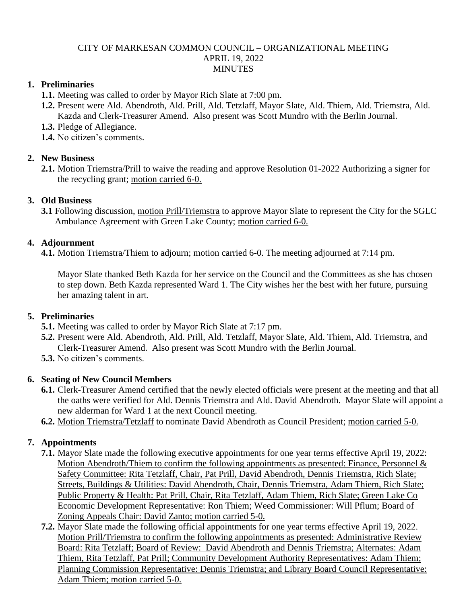#### CITY OF MARKESAN COMMON COUNCIL – ORGANIZATIONAL MEETING APRIL 19, 2022 MINUTES

## **1. Preliminaries**

**1.1.** Meeting was called to order by Mayor Rich Slate at 7:00 pm.

**1.2.** Present were Ald. Abendroth, Ald. Prill, Ald. Tetzlaff, Mayor Slate, Ald. Thiem, Ald. Triemstra, Ald. Kazda and Clerk-Treasurer Amend. Also present was Scott Mundro with the Berlin Journal.

**1.3.** Pledge of Allegiance.

**1.4.** No citizen's comments.

## **2. New Business**

**2.1.** Motion Triemstra/Prill to waive the reading and approve Resolution 01-2022 Authorizing a signer for the recycling grant; motion carried 6-0.

#### **3. Old Business**

**3.1** Following discussion, motion Prill/Triemstra to approve Mayor Slate to represent the City for the SGLC Ambulance Agreement with Green Lake County; motion carried 6-0.

#### **4. Adjournment**

**4.1.** Motion Triemstra/Thiem to adjourn; motion carried 6-0. The meeting adjourned at 7:14 pm.

Mayor Slate thanked Beth Kazda for her service on the Council and the Committees as she has chosen to step down. Beth Kazda represented Ward 1. The City wishes her the best with her future, pursuing her amazing talent in art.

## **5. Preliminaries**

- **5.1.** Meeting was called to order by Mayor Rich Slate at 7:17 pm.
- **5.2.** Present were Ald. Abendroth, Ald. Prill, Ald. Tetzlaff, Mayor Slate, Ald. Thiem, Ald. Triemstra, and Clerk-Treasurer Amend. Also present was Scott Mundro with the Berlin Journal.
- **5.3.** No citizen's comments.

## **6. Seating of New Council Members**

- **6.1.** Clerk-Treasurer Amend certified that the newly elected officials were present at the meeting and that all the oaths were verified for Ald. Dennis Triemstra and Ald. David Abendroth. Mayor Slate will appoint a new alderman for Ward 1 at the next Council meeting.
- **6.2.** Motion Triemstra/Tetzlaff to nominate David Abendroth as Council President; motion carried 5-0.

## **7. Appointments**

- **7.1.** Mayor Slate made the following executive appointments for one year terms effective April 19, 2022: Motion Abendroth/Thiem to confirm the following appointments as presented: Finance, Personnel & Safety Committee: Rita Tetzlaff, Chair, Pat Prill, David Abendroth, Dennis Triemstra, Rich Slate; Streets, Buildings & Utilities: David Abendroth, Chair, Dennis Triemstra, Adam Thiem, Rich Slate; Public Property & Health: Pat Prill, Chair, Rita Tetzlaff, Adam Thiem, Rich Slate; Green Lake Co Economic Development Representative: Ron Thiem; Weed Commissioner: Will Pflum; Board of Zoning Appeals Chair: David Zanto; motion carried 5-0.
- **7.2.** Mayor Slate made the following official appointments for one year terms effective April 19, 2022. Motion Prill/Triemstra to confirm the following appointments as presented: Administrative Review Board: Rita Tetzlaff; Board of Review: David Abendroth and Dennis Triemstra; Alternates: Adam Thiem, Rita Tetzlaff, Pat Prill; Community Development Authority Representatives: Adam Thiem; Planning Commission Representative: Dennis Triemstra; and Library Board Council Representative: Adam Thiem; motion carried 5-0.